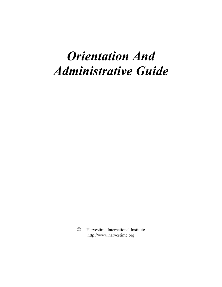# *Orientation And Administrative Guide*

© Harvestime International Institute http://www.harvestime.org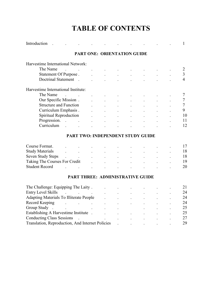# **TABLE OF CONTENTS**

| Harvestime International Network:                           |                                                |                                                                  |                                                           |                      |  |    |
|-------------------------------------------------------------|------------------------------------------------|------------------------------------------------------------------|-----------------------------------------------------------|----------------------|--|----|
| The Name<br><b>Contract Contract State</b>                  |                                                | $\mathbf{r} = \mathbf{r} \times \mathbf{r}$ , where $\mathbf{r}$ |                                                           |                      |  |    |
| Statement Of Purpose. Assume that the statement Of Purpose. |                                                |                                                                  | $\bullet$ - $\bullet$ - $\bullet$ - $\bullet$ - $\bullet$ | <b>All Contracts</b> |  | 3  |
| Doctrinal Statement .                                       |                                                |                                                                  |                                                           |                      |  | 4  |
| Harvestime International Institute:                         |                                                |                                                                  |                                                           |                      |  |    |
| The Name<br>and the state of the state of                   |                                                |                                                                  |                                                           |                      |  |    |
| Our Specific Mission.                                       |                                                |                                                                  |                                                           |                      |  |    |
| <b>Structure and Function</b>                               |                                                |                                                                  |                                                           |                      |  |    |
| Curriculum Emphasis.                                        |                                                | and the company of the                                           | $\bullet$                                                 |                      |  | 9  |
| <b>Spiritual Reproduction</b>                               | $\mathcal{L}^{\pm}$                            | $\mathbf{L}^{\text{max}}$                                        | $\bullet$                                                 |                      |  | 10 |
| Progression.                                                | $\mathbf{z}$ and $\mathbf{z}$ and $\mathbf{z}$ | $\mathbf{L}^{\text{max}}$                                        | $\bullet$ . The same $\bullet$                            | $\ddot{\phantom{0}}$ |  | 11 |
| Curriculum .                                                |                                                |                                                                  | $\bullet$                                                 |                      |  | 12 |

| Course Format.                                                                                                                                                                                                                 | . The contract of the contract of the contract of $17$                                                          |  |  |  |     |
|--------------------------------------------------------------------------------------------------------------------------------------------------------------------------------------------------------------------------------|-----------------------------------------------------------------------------------------------------------------|--|--|--|-----|
| Study Materials and the contract of the contract of the contract of the contract of the contract of the contract of the contract of the contract of the contract of the contract of the contract of the contract of the contra |                                                                                                                 |  |  |  |     |
| Seven Study Steps (Seven Study Steps (Seven Study Steps (Seven Assessment Assessment Assessment Assessment Assessment Assessment Assessment Assessment Assessment Assessment Assessment Assessment Assessment Assessment Asses |                                                                                                                 |  |  |  |     |
|                                                                                                                                                                                                                                |                                                                                                                 |  |  |  | -19 |
| Student Record                                                                                                                                                                                                                 | the contract of the contract of the contract of the contract of the contract of the contract of the contract of |  |  |  | 20  |

### **PART THREE: ADMINISTRATIVE GUIDE**

| The Challenge: Equipping The Laity.              |  |         |           |         |    |
|--------------------------------------------------|--|---------|-----------|---------|----|
| Entry Level Skills                               |  |         |           |         | 24 |
| <b>Adapting Materials To Illiterate People</b>   |  |         | $\bullet$ | $\cdot$ | 24 |
| Record Keeping                                   |  | $\cdot$ |           |         | 24 |
| Group Study                                      |  |         |           |         | 25 |
| Establishing A Harvestime Institute              |  |         |           |         | 25 |
| <b>Conducting Class Sessions</b>                 |  |         |           |         | 27 |
| Translation, Reproduction, And Internet Policies |  |         |           |         | 29 |
|                                                  |  |         |           |         |    |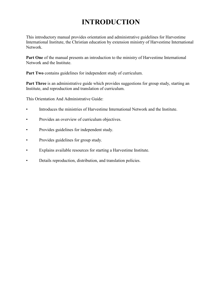# **INTRODUCTION**

This introductory manual provides orientation and administrative guidelines for Harvestime International Institute, the Christian education by extension ministry of Harvestime International Network.

Part One of the manual presents an introduction to the ministry of Harvestime International Network and the Institute.

**Part Two** contains guidelines for independent study of curriculum.

Part Three is an administrative guide which provides suggestions for group study, starting an Institute, and reproduction and translation of curriculum.

This Orientation And Administrative Guide:

- Introduces the ministries of Harvestime International Network and the Institute.
- Provides an overview of curriculum objectives.
- Provides guidelines for independent study.
- Provides guidelines for group study.
- Explains available resources for starting a Harvestime Institute.
- Details reproduction, distribution, and translation policies.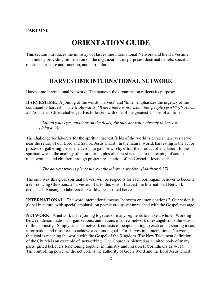#### **PART ONE**:

# **ORIENTATION GUIDE**

This section introduces the ministry of Harvestime International Network and the Harvestime Institute by providing information on the organization, its purposes, doctrinal beliefs, specific mission, structure and function, and curriculum.

### **HARVESTIME INTERNATIONAL NETWORK**

Harvestime International Network: The name of the organization reflects its purpose:

**HARVESTIME**: A joining of the words "harvest" and "time" emphasizes the urgency of the command to harvest. The Bible warns, *"Where there is no vision, the people perish" (Proverbs 29:18)*. Jesus Christ challenged His followers with one of the greatest visions of all times:

*...Lift up your eyes, and look on the fields; for they are white already to harvest. (John 4:35)*

The challenge for laborers for the spiritual harvest fields of the world is greater than ever as we near the return of our Lord and Savior, Jesus Christ. In the natural world, harvesting is the act or process of gathering the ripened crop, to gain or win by effort the product of any labor. In the spiritual world, the analogy of natural principles of harvest is made to the reaping of souls of men, women, and children through proper presentation of the Gospel. Jesus said:

*...The harvest truly is plenteous, but the laborers are few. (Matthew 9:37)*

The only way this great spiritual harvest will be reaped is for each born-again believer to become a reproducing Christian...a harvester. It is to this vision Harvestime International Network is dedicated: Raising up laborers for worldwide spiritual harvest.

**INTERNATIONAL**: The word international means "between or among nations." Our vision is global in nature, with special emphasis on people groups yet unreached with the Gospel message.

**NETWORK**: A network is the joining together of many segments to make a whole. Working between denominations, organizations, and nations in a new network of evangelism is the vision of this ministry. Simply stated, a network consists of people talking to each other, sharing ideas, information and resources to achieve a common goal. For Harvestime International Network, that goal is reaching the world with the Gospel of the Kingdom. The New Testament definition of the Church is an example of networking. The Church is pictured as a united body of many parts, gifted believers functioning together in ministry and mission (I Corinthians 12:4-31). The controlling power of the network is the authority of God's Word and the Lord Jesus Christ.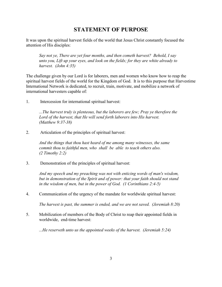### **STATEMENT OF PURPOSE**

It was upon the spiritual harvest fields of the world that Jesus Christ constantly focused the attention of His disciples:

*Say not ye, There are yet four months, and then cometh harvest? Behold, I say unto you, Lift up your eyes, and look on the fields; for they are white already to harvest. (John 4:35)*

The challenge given by our Lord is for laborers, men and women who know how to reap the spiritual harvest fields of the world for the Kingdom of God. It is to this purpose that Harvestime International Network is dedicated, to recruit, train, motivate, and mobilize a network of international harvesters capable of:

1. Intercession for international spiritual harvest:

*...The harvest truly is plenteous, but the laborers are few; Pray ye therefore the Lord of the harvest, that He will send forth laborers into His harvest. (Matthew 9:37-38)* 

2. Articulation of the principles of spiritual harvest:

*And the things that thou hast heard of me among many witnesses, the same commit thou to faithful men, who shall be able to teach others also. (2 Timothy 2:2)*

3. Demonstration of the principles of spiritual harvest:

*And my speech and my preaching was not with enticing words of man's wisdom,*  but in demonstration of the Spirit and of power: that your faith should not stand *in the wisdom of men, but in the power of God. (1 Corinthians 2:4-5)*

4. Communication of the urgency of the mandate for worldwide spiritual harvest:

*The harvest is past, the summer is ended, and we are not saved. (Jeremiah 8:20)*

5. Mobilization of members of the Body of Christ to reap their appointed fields in worldwide, end-time harvest:

*...He reserveth unto us the appointed weeks of the harvest. (Jeremiah 5:24)*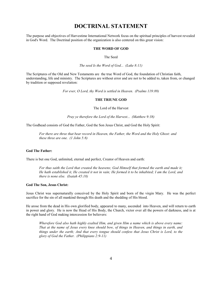### **DOCTRINAL STATEMENT**

The purpose and objectives of Harvestime International Network focus on the spiritual principles of harvest revealed in God's Word. The Doctrinal position of the organization is also centered on this great vision:

#### **THE WORD OF GOD**

The Seed

*The seed Is the Word of God... (Luke 8:11)*

The Scriptures of the Old and New Testaments are the true Word of God, the foundation of Christian faith, understanding, life and ministry. The Scriptures are without error and are not to be added to, taken from, or changed by tradition or supposed revelation:

*For ever, O Lord, thy Word is settled in Heaven. (Psalms 119:89)*

#### **THE TRIUNE GOD**

The Lord of the Harvest

*Pray ye therefore the Lord of the Harvest... (Matthew 9:38)*

The Godhead consists of God the Father, God the Son Jesus Christ, and God the Holy Spirit:

*For there are three that bear record in Heaven, the Father, the Word and the Holy Ghost: and these three are one. (1 John 5:8)*

#### **God The Father:**

There is but one God, unlimited, eternal and perfect, Creator of Heaven and earth:

*For thus saith the Lord that created the heavens; God Himself that formed the earth and made it; He hath established it, He created it not in vain; He formed it to be inhabited; I am the Lord, and there is none else. (Isaiah 45:18)*

#### **God The Son, Jesus Christ:**

Jesus Christ was supernaturally conceived by the Holy Spirit and born of the virgin Mary. He was the perfect sacrifice for the sin of all mankind through His death and the shedding of His blood.

He arose from the dead in His own glorified body, appeared to many, ascended into Heaven, and will return to earth in power and glory. He is now the Head of His Body, the Church, victor over all the powers of darkness, and is at the right hand of God making intercession for believers:

*Wherefore God also hath highly exalted Him, and given Him a name which is above every name: That at the name of Jesus every knee should bow, of things in Heaven, and things in earth, and things under the earth; And that every tongue should confess that Jesus Christ is Lord, to the glory of God the Father. (Philippians 2:9-11)*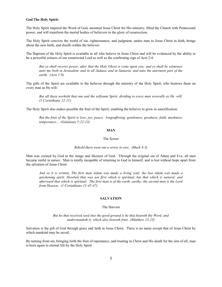#### **God The Holy Spirit:**

The Holy Spirit inspired the Word of God, anointed Jesus Christ for His ministry, filled the Church with Pentecostal power, and will transform the mortal bodies of believers in the glory of resurrection.

The Holy Spirit convicts the world of sin, righteousness, and judgment, unites man to Jesus Christ in faith, brings about the new birth, and dwells within the believer.

The Baptism of the Holy Spirit is available to all who believe in Jesus Christ and will be evidenced by the ability to be a powerful witness of our resurrected Lord as well as the confirming sign of Acts 2:4:

*But ye shall receive power, after that the Holy Ghost is come upon you: and ye shall be witnesses unto me both in Jerusalem, and in all Judaea, and in Samaria, and unto the uttermost part of the earth. (Acts 1:8)*

The gifts of the Spirit are available to the believer through the ministry of the Holy Spirit, who bestows them on every man as He will:

*But all these worketh that one and the selfsame Spirit, dividing to every man severally as He will. (1 Corinthians 12:11)*

The Holy Spirit also makes possible the fruit of the Spirit, enabling the believer to grow in sanctification:

*But the fruit of the Spirit is love, joy, peace, longsuffering, gentleness, goodness, faith, meekness, temperance... (Galatians 5:22-23)*

#### **MAN**

#### The Sower

#### *Behold there went out a sower to sow. (Mark 4:3)*

Man was created by God in the image and likeness of God. Through the original sin of Adam and Eve, all men became sinful in nature. Man is totally incapable of returning to God in himself, and is lost without hope apart from the salvation of Jesus Christ:

*And so it is written, The first man Adam was made a living soul; the last Adam was made a quickening spirit. Howbeit that was not first which is spiritual, but that which is natural; and afterward that which is spiritual. The first man is of the earth, earthy; the second man is the Lord from Heaven. (1 Corinthians 15:45-47)*

#### **SALVATION**

#### The Harvest

*But he that received seed into the good ground is he that heareth the Word, and understandeth it; which also beareth fruit...(Matthew 13:23)* 

Salvation is the gift of God through grace and faith in Jesus Christ. There is no name except that of Jesus Christ by which mankind may be saved.

By turning from sin, bringing forth the fruit of repentance, and trusting in Christ and His death for the sins of all, man is born again to eternal life by the Holy Spirit.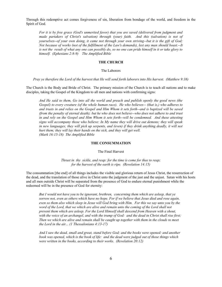Through this redemptive act comes forgiveness of sin, liberation from bondage of the world, and freedom in the Spirit of God.

*For it is by free grace (God's unmerited favor) that you are saved (delivered from judgment and made partakers of Christ's salvation) through (your) faith. And this (salvation) is not of yourselves--of your own doing, it came not through your own striving--but it is the gift of God; Not because of works (not of the fulfillment of the Law's demands), lest any man should boast.--It is not the result of what any one can possibly do, so no one can pride himself in it or take glory to himself. (Ephesians 2:8-9) The Amplified Bible*

#### **THE CHURCH**

#### The Laborers

*Pray ye therefore the Lord of the harvest that He will send forth laborers into His harvest. (Matthew 9:38)*

The Church is the Body and Bride of Christ. The primary mission of the Church is to teach all nations and to make disciples, taking the Gospel of the Kingdom to all men and nations with confirming signs:

*And He said to them, Go into all the world and preach and publish openly the good news (the Gospel) to every creature (of the whole human race). He who believes-- (that is,) who adheres to and trusts in and relies on the Gospel and Him Whom it sets forth--and is baptized will be saved (from the penalty of eternal death); but he who does not believe--who does not adhere to and trust in and rely on the Gospel and Him Whom it sets forth--will be condemned. And these attesting signs will accompany those who believe: In My name they will drive out demons; they will speak in new languages; they will pick up serpents, and (even) if they drink anything deadly, it will not hurt them; they will lay their hands on the sick, and they will get well. (Mark 16:15-18) The Amplified Bible*

#### **THE CONSUMMATION**

The Final Harvest

*Thrust in thy sickle, and reap: for the time is come for thee to reap; for the harvest of the earth is ripe. (Revelation 14:15)*

The consummation [the end] of all things includes the visible and glorious return of Jesus Christ, the resurrection of the dead, and the translation of those alive in Christ unto the judgment of the just and the unjust. Satan with his hosts and all men outside Christ will be separated from the presence of God to endure eternal punishment while the redeemed will be in the presence of God for eternity:

*But I would not have you to be ignorant, brethren, concerning them which are asleep, that ye sorrow not, even as others which have no hope. For if we believe that Jesus died and rose again, even so them also which sleep in Jesus will God bring with Him. For this we say unto you by the*  word of the Lord, that we which are alive and remain unto the coming of the Lord shall not *prevent them which are asleep. For the Lord Himself shall descend from Heaven with a shout, with the voice of an archangel, and with the trump of God: and the dead in Christ shall rise first; Then we which are alive and remain shall be caught up together with them in the clouds to meet the Lord in the air... (1 Thessalonians 4:13-17)*

*And I saw the dead, small and great, stand before God; and the books were opened: and another book was opened, which is the book of life: and the dead were judged out of those things which were written in the books, according to their works. (Revelation 20:12)*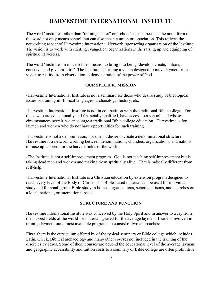### **HARVESTIME INTERNATIONAL INSTITUTE**

The word "institute" rather than "training center" or "school" is used because the noun form of the word not only means school, but can also mean a union or association. This reflects the networking aspect of Harvestime International Network, sponsoring organization of the Institute. The vision is to work with existing evangelical organizations in the raising up and equipping of spiritual harvesters.

The word "institute" in its verb form means "to bring into being, develop, create, initiate, conceive, and give birth to." The Institute is birthing a vision designed to move laymen from vision to reality, from observation to demonstration of the power of God.

#### **OUR SPECIFIC MISSION**

-Harvestime International Institute is not a seminary for those who desire study of theological issues or training in Biblical languages, archaeology, history, etc.

-Harvestime International Institute is not in competition with the traditional Bible college. For those who are educationally and financially qualified, have access to a school, and whose circumstances permit, we encourage a traditional Bible college education. Harvestime is for laymen and women who do not have opportunities for such training.

-Harvestime is not a denomination, nor does it desire to create a denominational structure. Harvestime is a network working between denominations, churches, organizations, and nations to raise up laborers for the harvest fields of the world.

-The Institute is not a self-improvement program. God is not teaching self-improvement but is taking dead men and women and making them spiritually alive. That is radically different from self-help.

-Harvestime International Institute is a Christian education by extension program designed to reach every level of the Body of Christ. This Bible-based material can be used for individual study and for small group Bible study in homes, organizations, schools, prisons, and churches on a local, national, or international basis.

### **STRUCTURE AND FUNCTION**

Harvestime International Institute was conceived by the Holy Spirit and in answer to a cry from the harvest fields of the world for materials geared for the average layman. Leaders involved in training laymen found most available programs to consist of two approaches:

**First**, there is the curriculum offered by of the typical seminary or Bible college which includes Latin, Greek, Biblical archaeology and many other courses not included in the training of the disciples by Jesus. Some of these courses are beyond the educational level of the average layman, and geographic accessibility and tuition costs to a seminary or Bible college are often prohibitive.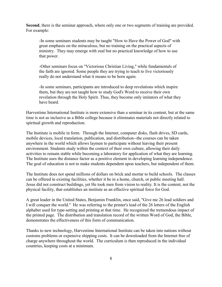**Second**, there is the seminar approach, where only one or two segments of training are provided. For example:

-In some seminars students may be taught "How to Have the Power of God" with great emphasis on the miraculous, but no training on the practical aspects of ministry. They may emerge with zeal but no practical knowledge of how to use that power.

-Other seminars focus on "Victorious Christian Living," while fundamentals of the faith are ignored. Some people they are trying to teach to live victoriously really do not understand what it means to be born again.

-In some seminars, participants are introduced to deep revelations which inspire them, but they are not taught how to study God's Word to receive their own revelation through the Holy Spirit. Thus, they become only imitators of what they have heard.

Harvestime International Institute is more extensive than a seminar in its content, but at the same time is not as inclusive as a Bible college because it eliminates materials not directly related to spiritual growth and reproduction.

The Institute is mobile in form. Through the Internet, computer disks, flash drives, SD cards, mobile devices, local translation, publication, and distribution--the courses can be taken anywhere in the world which allows laymen to participate without leaving their present environment. Students study within the context of their own culture, allowing their daily activities to remain stable while becoming a laboratory for application of what they are learning. The Institute uses the distance factor as a positive element in developing learning independence. The goal of education is not to make students dependent upon teachers, but independent of them.

The Institute does not spend millions of dollars on brick and mortar to build schools. The classes can be offered in existing facilities, whether it be in a home, church, or public meeting hall. Jesus did not construct buildings, yet He took men from vision to reality. It is the content, not the physical facility, that establishes an institute as an effective spiritual force for God.

A great leader in the United States, Benjamin Franklin, once said, "Give me 26 lead soldiers and I will conquer the world." He was referring to the printer's lead of the 26 letters of the English alphabet used for type-setting and printing at that time. He recognized the tremendous impact of the printed page. The distribution and translation record of the written Word of God, the Bible, demonstrates the effectiveness of this form of communication.

Thanks to new technology, Harvestime International Institute can be taken into nations without customs problems or expensive shipping costs. It can be downloaded from the Internet free of charge anywhere throughout the world. The curriculum is then reproduced in the individual countries, keeping costs at a minimum.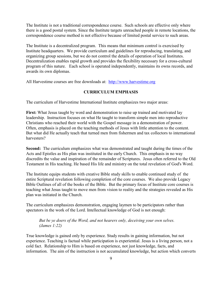The Institute is not a traditional correspondence course. Such schools are effective only where there is a good postal system. Since the Institute targets unreached people in remote locations, the correspondence course method is not effective because of limited postal service to such areas.

The Institute is a decentralized program. This means that minimum control is exercised by Institute headquarters. We provide curriculum and guidelines for reproducing, translating, and organizing group sessions, but we do not control the details of operation of local Institutes. Decentralization enables rapid growth and provides the flexibility necessary for a cross-cultural program of this nature. Each school is operated independently, maintains its owns records, and awards its own diplomas.

All Harvestime courses are free downloads at: [http://www.harvestime.org](http://www/harvesitme.org.)

### **CURRICULUM EMPHASIS**

The curriculum of Harvestime International Institute emphasizes two major areas:

First: What Jesus taught by word and demonstration to raise up trained and motivated lay leadership. Instruction focuses on what He taught to transform simple men into reproductive Christians who reached their world with the Gospel message in a demonstration of power. Often, emphasis is placed on the teaching methods of Jesus with little attention to the content. But what did He actually teach that turned men from fishermen and tax collectors to international harvesters?

**Second:** The curriculum emphasizes what was demonstrated and taught during the times of the Acts and Epistles as His plan was instituted in the early Church. This emphasis in no way discredits the value and inspiration of the remainder of Scriptures. Jesus often referred to the Old Testament in His teaching. He based His life and ministry on the total revelation of God's Word.

The Institute equips students with creative Bible study skills to enable continued study of the entire Scriptural revelation following completion of the core courses. We also provide Legacy Bible Outlines of all of the books of the Bible. But the primary focus of Institute core courses is teaching what Jesus taught to move men from vision to reality and the strategies revealed as His plan was initiated in the Church.

The curriculum emphasizes demonstration, engaging laymen to be participators rather than spectators in the work of the Lord. Intellectual knowledge of God is not enough:

*But be ye doers of the Word, and not hearers only, deceiving your own selves. (James 1:22)*

True knowledge is gained only by experience. Study results in gaining information, but not experience. Teaching is factual while participation is experiential. Jesus is a living person, not a cold fact. Relationship to Him is based on experience, not just knowledge, facts, and information. The aim of the instruction is not accumulated knowledge, but action which converts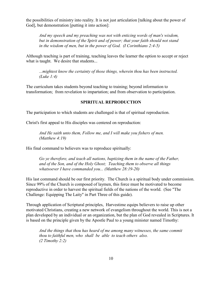the possibilities of ministry into reality. It is not just articulation [talking about the power of God], but demonstration [putting it into action]:

*And my speech and my preaching was not with enticing words of man's wisdom, but in demonstration of the Spirit and of power; that your faith should not stand in the wisdom of men, but in the power of God. (I Corinthians 2:4-5)* 

Although teaching is part of training, teaching leaves the learner the option to accept or reject what is taught. We desire that students...

*...mightest know the certainty of those things, wherein thou has been instructed. (Luke 1:4)*

The curriculum takes students beyond teaching to training; beyond information to transformation; from revelation to impartation; and from observation to participation.

#### **SPIRITUAL REPRODUCTION**

The participation to which students are challenged is that of spiritual reproduction.

Christ's first appeal to His disciples was centered on reproduction:

*And He saith unto them, Follow me, and I will make you fishers of men. (Matthew 4:19)*

His final command to believers was to reproduce spiritually:

*Go ye therefore, and teach all nations, baptizing them in the name of the Father, and of the Son, and of the Holy Ghost; Teaching them to observe all things whatsoever I have commanded you... (Matthew 28:19-20)*

His last command should be our first priority. The Church is a spiritual body under commission. Since 99% of the Church is composed of laymen, this force must be motivated to become reproductive in order to harvest the spiritual fields of the nations of the world. (See "The Challenge: Equipping The Laity" in Part Three of this guide).

Through application of Scriptural principles, Harvestime equips believers to raise up other motivated Christians, creating a new network of evangelism throughout the world. This is not a plan developed by an individual or an organization, but the plan of God revealed in Scriptures. It is based on the principle given by the Apostle Paul to a young minister named Timothy:

*And the things that thou has heard of me among many witnesses, the same commit thou to faithful men, who shall be able to teach others also. (2 Timothy 2:2)*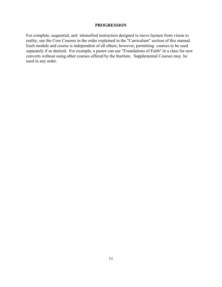#### **PROGRESSION**

For complete, sequential, and intensified instruction designed to move laymen from vision to reality, use the Core Courses in the order explained in the "Curriculum" section of this manual. Each module and course is independent of all others, however, permitting courses to be used separately if so desired. For example, a pastor can use "Foundations of Faith" in a class for new converts without using other courses offered by the Institute. Supplemental Courses may be used in any order.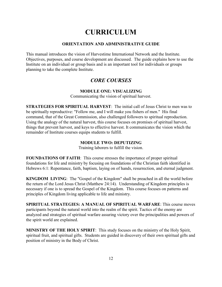# **CURRICULUM**

#### **ORIENTATION AND ADMINISTRATIVE GUIDE**

This manual introduces the vision of Harvestime International Network and the Institute. Objectives, purposes, and course development are discussed. The guide explains how to use the Institute on an individual or group basis and is an important tool for individuals or groups planning to take the complete Institute.

### *CORE COURSES*

### **MODULE ONE: VISUALIZING**

Communicating the vision of spiritual harvest.

**STRATEGIES FOR SPIRITUAL HARVEST**: The initial call of Jesus Christ to men was to be spiritually reproductive: "Follow me, and I will make you fishers of men." His final command, that of the Great Commission, also challenged followers to spiritual reproduction. Using the analogy of the natural harvest, this course focuses on promises of spiritual harvest, things that prevent harvest, and keys to effective harvest. It communicates the vision which the remainder of Institute courses equips students to fulfill.

### **MODULE TWO: DEPUTIZING**

Training laborers to fulfill the vision.

**FOUNDATIONS OF FAITH**: This course stresses the importance of proper spiritual foundations for life and ministry by focusing on foundations of the Christian faith identified in Hebrews 6:1: Repentance, faith, baptism, laying on of hands, resurrection, and eternal judgment.

**KINGDOM LIVING**: The "Gospel of the Kingdom" shall be preached in all the world before the return of the Lord Jesus Christ (Matthew 24:14). Understanding of Kingdom principles is necessary if one is to spread the Gospel of the Kingdom. This course focuses on patterns and principles of Kingdom living applicable to life and ministry.

**SPIRITUAL STRATEGIES: A MANUAL OF SPIRITUAL WARFARE**: This course moves participants beyond the natural world into the realm of the spirit. Tactics of the enemy are analyzed and strategies of spiritual warfare assuring victory over the principalities and powers of the spirit world are explained.

**MINISTRY OF THE HOLY SPIRIT**: This study focuses on the ministry of the Holy Spirit, spiritual fruit, and spiritual gifts. Students are guided in discovery of their own spiritual gifts and position of ministry in the Body of Christ.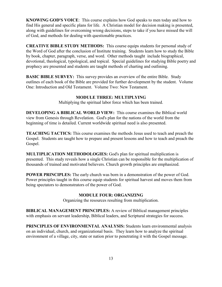**KNOWING GOD'S VOICE**: This course explains how God speaks to men today and how to find His general and specific plans for life. A Christian model for decision making is presented, along with guidelines for overcoming wrong decisions, steps to take if you have missed the will of God, and methods for dealing with questionable practices.

**CREATIVE BIBLE STUDY METHODS:** This course equips students for personal study of the Word of God after the conclusion of Institute training. Students learn how to study the Bible by book, chapter, paragraph, verse, and word. Other methods taught include biographical, devotional, theological, typological, and topical. Special guidelines for studying Bible poetry and prophecy are presented and students are taught methods of charting and outlining.

**BASIC BIBLE SURVEY:** This survey provides an overview of the entire Bible. Study outlines of each book of the Bible are provided for further development by the student. Volume One: Introduction and Old Testament. Volume Two: New Testament.

#### **MODULE THREE: MULTIPLYING**

Multiplying the spiritual labor force which has been trained.

**DEVELOPING A BIBLICAL WORLD VIEW:** This course examines the Biblical world view from Genesis through Revelation. God's plan for the nations of the world from the beginning of time is detailed. Current worldwide spiritual need is also presented.

**TEACHING TACTICS:** This course examines the methods Jesus used to teach and preach the Gospel. Students are taught how to prepare and present lessons and how to teach and preach the Gospel.

**MULTIPLICATION METHODOLOGIES:** God's plan for spiritual multiplication is presented. This study reveals how a single Christian can be responsible for the multiplication of thousands of trained and motivated believers. Church growth principles are emphasized.

**POWER PRINCIPLES:** The early church was born in a demonstration of the power of God. Power principles taught in this course equip students for spiritual harvest and moves them from being spectators to demonstrators of the power of God.

#### **MODULE FOUR: ORGANIZING**

Organizing the resources resulting from multiplication.

**BIBLICAL MANAGEMENT PRINCIPLES:** A review of Biblical management principles with emphasis on servant leadership, Biblical leaders, and Scriptural strategies for success.

**PRINCIPLES OF ENVIRONMENTAL ANALYSIS:** Students learn environmental analysis on an individual, church, and organizational basis. They learn how to analyze the spiritual environment of a village, city, state or nation prior to penetrating it with the Gospel message.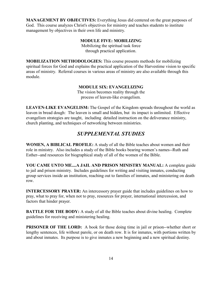**MANAGEMENT BY OBJECTIVES:** Everything Jesus did centered on the great purposes of God. This course analyzes Christ's objectives for ministry and teaches students to institute management by objectives in their own life and ministry.

#### **MODULE FIVE: MOBILIZING**

Mobilizing the spiritual task force through practical application.

**MOBILIZATION METHODOLOGIES:** This course presents methods for mobilizing spiritual forces for God and explains the practical application of the Harvestime vision to specific areas of ministry. Referral courses in various areas of ministry are also available through this module.

#### **MODULE SIX: EVANGELIZING**

The vision becomes reality through the process of leaven-like evangelism.

**LEAVEN-LIKE EVANGELISM:** The Gospel of the Kingdom spreads throughout the world as leaven in bread dough: The leaven is small and hidden, but its impact is unlimited. Effective evangelism strategies are taught, including detailed instruction on the deliverance ministry, church planting, and techniques of networking between ministries.

### *SUPPLEMENTAL STUDIES*

**WOMEN, A BIBLICAL PROFILE:** A study of all the Bible teaches about women and their role in ministry. Also includes a study of the Bible books bearing women's names--Ruth and Esther--and resources for biographical study of all of the women of the Bible.

**YOU CAME UNTO ME....A JAIL AND PRISON MINISTRY MANUAL:** A complete guide to jail and prison ministry. Includes guidelines for writing and visiting inmates, conducting group services inside an institution, reaching out to families of inmates, and ministering on death row.

**INTERCESSORY PRAYER:** An intercessory prayer guide that includes guidelines on how to pray, what to pray for, when not to pray, resources for prayer, international intercession, and factors that hinder prayer.

**BATTLE FOR THE BODY:** A study of all the Bible teaches about divine healing. Complete guidelines for receiving and ministering healing.

**PRISONER OF THE LORD:** A book for those doing time in jail or prison--whether short or lengthy sentences, life without parole, or on death row. It is for inmates, with portions written by and about inmates. Its purpose is to give inmates a new beginning and a new spiritual destiny.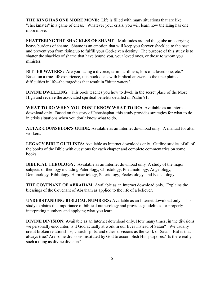**THE KING HAS ONE MORE MOVE:** Life is filled with many situations that are like "checkmates" in a game of chess. Whatever your crisis, you will learn how the King has one more move.

**SHATTERING THE SHACKLES OF SHAME:** Multitudes around the globe are carrying heavy burdens of shame. Shame is an emotion that will keep you forever shackled to the past and prevent you from rising up to fulfill your God-given destiny. The purpose of this study is to shatter the shackles of shame that have bound you, your loved ones, or those to whom you minister.

**BITTER WATERS:** Are you facing a divorce, terminal illness, loss of a loved one, etc.? Based on a true-life experience, this book deals with biblical answers to the unexplained difficulties in life--the tragedies that result in "bitter waters".

**DIVINE DWELLING:** This book teaches you how to dwell in the secret place of the Most High and receive the associated spiritual benefits detailed in Psalm 91.

**WHAT TO DO WHEN YOU DON'T KNOW WHAT TO DO:** Available as an Internet download only. Based on the story of Jehoshaphat, this study provides strategies for what to do in crisis situations when you don't know what to do.

**ALTAR COUNSELOR'S GUIDE:** Available as an Internet download only. A manual for altar workers.

**LEGACY BIBLE OUTLINES:** Available as Internet downloads only. Outline studies of all of the books of the Bible with questions for each chapter and complete commentaries on some books.

**BIBLICAL THEOLOGY:** Available as an Internet download only. A study of the major subjects of theology including Paterology, Christology, Pneumatology, Angelology, Demonology, Bibliology, Harmartiology, Soteriology, Ecclesiology, and Eschatology.

**THE COVENANT OF ABRAHAM:** Available as an Internet download only. Explains the blessings of the Covenant of Abraham as applied to the life of a believer.

**UNDERSTANDING BIBLICAL NUMBERS:** Available as an Internet download only. This study explains the importance of biblical numerology and provides guidelines for properly interpreting numbers and applying what you learn.

**DIVINE DIVISION:** Available as an Internet download only. How many times, in the divisions we personally encounter, is it God actually at work in our lives instead of Satan? We usually credit broken relationships, church splits, and other divisions as the work of Satan. But is that always true? Are some divisions instituted by God to accomplish His purposes? Is there really such a thing as divine division?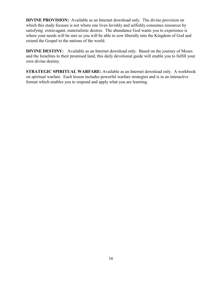**DIVINE PROVISION:** Available as an Internet download only. The divine provision on which this study focuses is not where one lives lavishly and selfishly consumes resources by satisfying extravagant, materialistic desires. The abundance God wants you to experience is where your needs will be met so you will be able to sow liberally into the Kingdom of God and extend the Gospel to the nations of the world.

**DIVINE DESTINY:** Available as an Internet download only. Based on the journey of Moses and the Israelites to their promised land, this daily devotional guide will enable you to fulfill your own divine destiny.

**STRATEGIC SPIRITUAL WARFARE:** Available as an Internet download only. A workbook on spiritual warfare. Each lesson includes powerful warfare strategies and is in an interactive format which enables you to respond and apply what you are learning.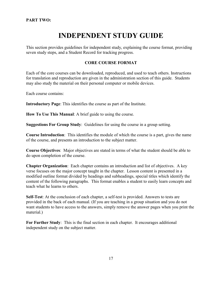# **INDEPENDENT STUDY GUIDE**

This section provides guidelines for independent study, explaining the course format, providing seven study steps, and a Student Record for tracking progress.

### **CORE COURSE FORMAT**

Each of the core courses can be downloaded, reproduced, and used to teach others. Instructions for translation and reproduction are given in the administration section of this guide. Students may also study the material on their personal computer or mobile devices.

Each course contains:

**Introductory Page**: This identifies the course as part of the Institute.

**How To Use This Manual**: A brief guide to using the course.

**Suggestions For Group Study**: Guidelines for using the course in a group setting.

**Course Introduction**: This identifies the module of which the course is a part, gives the name of the course, and presents an introduction to the subject matter.

**Course Objectives**: Major objectives are stated in terms of what the student should be able to do upon completion of the course.

**Chapter Organization**: Each chapter contains an introduction and list of objectives. A key verse focuses on the major concept taught in the chapter. Lesson content is presented in a modified outline format divided by headings and subheadings, special titles which identify the content of the following paragraphs. This format enables a student to easily learn concepts and teach what he learns to others.

**Self-Test**: At the conclusion of each chapter, a self-test is provided. Answers to tests are provided in the back of each manual. (If you are teaching in a group situation and you do not want students to have access to the answers, simply remove the answer pages when you print the material.)

**For Further Study**: This is the final section in each chapter. It encourages additional independent study on the subject matter.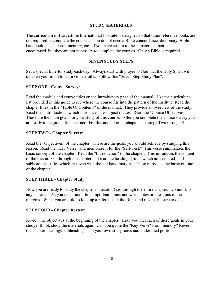#### **STUDY MATERIALS**

The curriculum of Harvestime International Institute is designed so that other reference books are not required to complete the courses. You do not need a Bible concordance, dictionary, Bible handbook, atlas, or commentary, etc. If you have access to these materials their use is encouraged, but they are not necessary to complete the courses. Only a Bible is required.

#### **SEVEN STUDY STEPS**

Set a special time for study each day. Always start with prayer to God that the Holy Spirit will quicken your mind to learn God's truths. Follow this "Seven Step Study Plan":

#### **STEP ONE - Course Survey:**

Read the module and course titles on the introductory page of the manual. Use the curriculum list provided in this guide to see where the course fits into the pattern of the Institute. Read the chapter titles in the "Table Of Contents" of the manual. They provide an overview of the study. Read the "Introduction" which introduces the subject matter. Read the "Course Objectives." These are the main goals for your study of this course. After you complete the course survey you are ready to begin the first chapter. For this and all other chapters use steps Two through Six.

#### **STEP TWO - Chapter Survey:**

Read the "Objectives" of the chapter. These are the goals you should achieve by studying this lesson. Read the "Key Verse" and memorize it for the "Self-Test." This verse summarizes the basic concept of the chapter. Read the "Introduction" to the chapter. This introduces the content of the lesson. Go through the chapter and read the headings [titles which are centered] and subheadings [titles which are even with the left hand margin]. These introduce the basic outline of the chapter.

#### **STEP THREE - Chapter Study:**

Now you are ready to study the chapter in detail. Read through the entire chapter. Do not skip any material. As you read, underline important points and write notes or questions in the margins. When you are told to look up a reference in the Bible and read it, be sure to do so.

#### **STEP FOUR - Chapter Review:**

Review the objectives at the beginning of the chapter. Have you met each of these goals in your study? If not, study the materials again. Can you quote the "Key Verse" from memory? Review the chapter headings, subheadings, and your own study notes and underlined portions.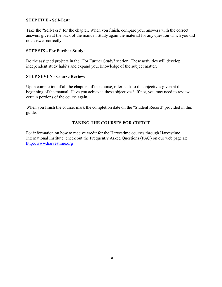### **STEP FIVE - Self-Test:**

Take the "Self-Test" for the chapter. When you finish, compare your answers with the correct answers given at the back of the manual. Study again the material for any question which you did not answer correctly.

#### **STEP SIX - For Further Study:**

Do the assigned projects in the "For Further Study" section. These activities will develop independent study habits and expand your knowledge of the subject matter.

#### **STEP SEVEN - Course Review:**

Upon completion of all the chapters of the course, refer back to the objectives given at the beginning of the manual. Have you achieved these objectives? If not, you may need to review certain portions of the course again.

When you finish the course, mark the completion date on the "Student Record" provided in this guide.

### **TAKING THE COURSES FOR CREDIT**

For information on how to receive credit for the Harvestime courses through Harvestime International Institute, check out the Frequently Asked Questions (FAQ) on our web page at: [http://www.harvestime.org](http://www.harvestime.org/)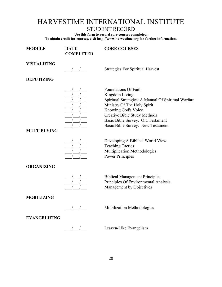# HARVESTIME INTERNATIONAL INSTITUTE

STUDENT RECORD

**Use this form to record core courses completed. To obtain credit for courses, visit http://www.harvestime.org for further information.**

| <b>MODULE</b>       | <b>DATE</b><br><b>COMPLETED</b>                                                                                                                                                                                                                                                                                                                                                                                                       | <b>CORE COURSES</b>                                                                                                                                                                                                                                                         |
|---------------------|---------------------------------------------------------------------------------------------------------------------------------------------------------------------------------------------------------------------------------------------------------------------------------------------------------------------------------------------------------------------------------------------------------------------------------------|-----------------------------------------------------------------------------------------------------------------------------------------------------------------------------------------------------------------------------------------------------------------------------|
| <b>VISUALIZING</b>  | $\frac{1}{\sqrt{1-\frac{1}{2}}}$                                                                                                                                                                                                                                                                                                                                                                                                      | <b>Strategies For Spiritual Harvest</b>                                                                                                                                                                                                                                     |
| <b>DEPUTIZING</b>   |                                                                                                                                                                                                                                                                                                                                                                                                                                       |                                                                                                                                                                                                                                                                             |
| <b>MULTIPLYING</b>  |                                                                                                                                                                                                                                                                                                                                                                                                                                       | <b>Foundations Of Faith</b><br>Kingdom Living<br>Spiritual Strategies: A Manual Of Spiritual Warfare<br>Ministry Of The Holy Spirit<br>Knowing God's Voice<br><b>Creative Bible Study Methods</b><br>Basic Bible Survey: Old Testament<br>Basic Bible Survey: New Testament |
|                     |                                                                                                                                                                                                                                                                                                                                                                                                                                       | Developing A Biblical World View<br><b>Teaching Tactics</b><br>Multiplication Methodologies<br><b>Power Principles</b>                                                                                                                                                      |
| <b>ORGANIZING</b>   |                                                                                                                                                                                                                                                                                                                                                                                                                                       |                                                                                                                                                                                                                                                                             |
|                     | $\frac{\frac{1}{\sqrt{1-\frac{1}{\sqrt{1-\frac{1}{\sqrt{1-\frac{1}{\sqrt{1-\frac{1}{\sqrt{1-\frac{1}{\sqrt{1-\frac{1}{\sqrt{1-\frac{1}{\sqrt{1-\frac{1}{\sqrt{1-\frac{1}{\sqrt{1-\frac{1}{\sqrt{1-\frac{1}{\sqrt{1-\frac{1}{\sqrt{1-\frac{1}{\sqrt{1-\frac{1}{\sqrt{1-\frac{1}{\sqrt{1-\frac{1}{\sqrt{1-\frac{1}{\sqrt{1-\frac{1}{\sqrt{1-\frac{1}{\sqrt{1-\frac{1}{\sqrt{1-\frac{1}{\sqrt{1-\frac{1}{\sqrt{1-\frac{1}{\sqrt{1-\frac$ | <b>Biblical Management Principles</b><br>Principles Of Environmental Analysis<br>Management by Objectives                                                                                                                                                                   |
| <b>MOBILIZING</b>   |                                                                                                                                                                                                                                                                                                                                                                                                                                       |                                                                                                                                                                                                                                                                             |
|                     | $\overline{\phantom{a}}$                                                                                                                                                                                                                                                                                                                                                                                                              | Mobilization Methodologies                                                                                                                                                                                                                                                  |
| <b>EVANGELIZING</b> | $\frac{1}{\frac{1}{2}}$                                                                                                                                                                                                                                                                                                                                                                                                               | Leaven-Like Evangelism                                                                                                                                                                                                                                                      |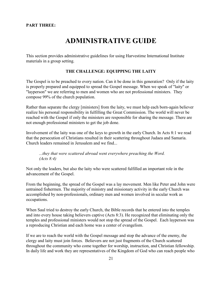#### **PART THREE:**

# **ADMINISTRATIVE GUIDE**

This section provides administrative guidelines for using Harvestime International Institute materials in a group setting.

#### **THE CHALLENGE: EQUIPPING THE LAITY**

The Gospel is to be preached to every nation. Can it be done in this generation? Only if the laity is properly prepared and equipped to spread the Gospel message. When we speak of "laity" or "layperson" we are referring to men and women who are not professional ministers. They compose 99% of the church population.

Rather than separate the clergy [ministers] from the laity, we must help each born-again believer realize his personal responsibility in fulfilling the Great Commission. The world will never be reached with the Gospel if only the ministers are responsible for sharing the message. There are not enough professional ministers to get the job done.

Involvement of the laity was one of the keys to growth in the early Church. In Acts 8:1 we read that the persecution of Christians resulted in their scattering throughout Judaea and Samaria. Church leaders remained in Jerusalem and we find...

*...they that were scattered abroad went everywhere preaching the Word. (Acts 8:4)* 

Not only the leaders, but also the laity who were scattered fulfilled an important role in the advancement of the Gospel.

From the beginning, the spread of the Gospel was a lay movement. Men like Peter and John were untrained fishermen. The majority of ministry and missionary activity in the early Church was accomplished by non-professionals, ordinary men and women involved in secular work as occupations.

When Saul tried to destroy the early Church, the Bible records that he entered into the temples and into every house taking believers captive (Acts 8:3). He recognized that eliminating only the temples and professional ministers would not stop the spread of the Gospel. Each layperson was a reproducing Christian and each home was a center of evangelism.

If we are to reach the world with the Gospel message and stop the advance of the enemy, the clergy and laity must join forces. Believers are not just fragments of the Church scattered throughout the community who come together for worship, instruction, and Christian fellowship. In daily life and work they are representatives of the Kingdom of God who can reach people who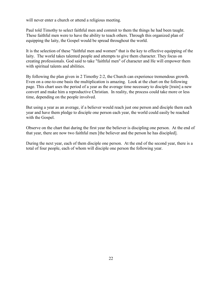will never enter a church or attend a religious meeting.

Paul told Timothy to select faithful men and commit to them the things he had been taught. These faithful men were to have the ability to teach others. Through this organized plan of equipping the laity, the Gospel would be spread throughout the world.

It is the selection of these "faithful men and women" that is the key to effective equipping of the laity. The world takes talented people and attempts to give them character. They focus on creating professionals. God said to take "faithful men" of character and He will empower them with spiritual talents and abilities.

By following the plan given in 2 Timothy 2:2, the Church can experience tremendous growth. Even on a one-to-one basis the multiplication is amazing. Look at the chart on the following page. This chart uses the period of a year as the average time necessary to disciple [train] a new convert and make him a reproductive Christian. In reality, the process could take more or less time, depending on the people involved.

But using a year as an average, if a believer would reach just one person and disciple them each year and have them pledge to disciple one person each year, the world could easily be reached with the Gospel.

Observe on the chart that during the first year the believer is discipling one person. At the end of that year, there are now two faithful men [the believer and the person he has discipled].

During the next year, each of them disciple one person. At the end of the second year, there is a total of four people, each of whom will disciple one person the following year.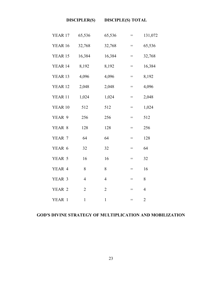| YEAR 17 | 65,536         | 65,536         | $=$ | 131,072        |
|---------|----------------|----------------|-----|----------------|
| YEAR 16 | 32,768         | 32,768         | $=$ | 65,536         |
| YEAR 15 | 16,384         | 16,384         | $=$ | 32,768         |
| YEAR 14 | 8,192          | 8,192          | $=$ | 16,384         |
| YEAR 13 | 4,096          | 4,096          | $=$ | 8,192          |
| YEAR 12 | 2,048          | 2,048          | $=$ | 4,096          |
| YEAR 11 | 1,024          | 1,024          | $=$ | 2,048          |
| YEAR 10 | 512            | 512            | $=$ | 1,024          |
| YEAR 9  | 256            | 256            | $=$ | 512            |
| YEAR 8  | 128            | 128            | $=$ | 256            |
| YEAR 7  | 64             | 64             | $=$ | 128            |
| YEAR 6  | 32             | 32             | $=$ | 64             |
| YEAR 5  | 16             | 16             | $=$ | 32             |
| YEAR 4  | 8              | 8              | $=$ | 16             |
| YEAR 3  | $\overline{4}$ | $\overline{4}$ | $=$ | 8              |
| YEAR 2  | $\overline{2}$ | $\overline{2}$ | $=$ | $\overline{4}$ |
| YEAR 1  | $\mathbf{1}$   | $\mathbf{1}$   | $=$ | $\overline{c}$ |

### **GOD'S DIVINE STRATEGY OF MULTIPLICATION AND MOBILIZATION**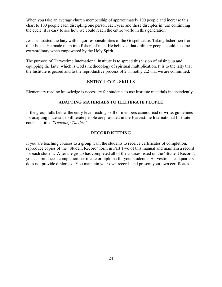When you take an average church membership of approximately 100 people and increase this chart to 100 people each discipling one person each year and these disciples in turn continuing the cycle, it is easy to see how we could reach the entire world in this generation.

Jesus entrusted the laity with major responsibilities of the Gospel cause. Taking fishermen from their boats, He made them into fishers of men. He believed that ordinary people could become extraordinary when empowered by the Holy Spirit.

The purpose of Harvestime International Institute is to spread this vision of raising up and equipping the laity which is God's methodology of spiritual multiplication. It is to the laity that the Institute is geared and to the reproductive process of 2 Timothy 2:2 that we are committed.

### **ENTRY LEVEL SKILLS**

Elementary reading knowledge is necessary for students to use Institute materials independently.

### **ADAPTING MATERIALS TO ILLITERATE PEOPLE**

If the group falls below the entry level reading skill or members cannot read or write, guidelines for adapting materials to illiterate people are provided in the Harvestime International Institute course entitled *"Teaching Tactics."*

#### **RECORD KEEPING**

If you are teaching courses to a group want the students to receive certificates of completion, reproduce copies of the "Student Record" form in Part Two of this manual and maintain a record for each student. After the group has completed all of the courses listed on the "Student Record", you can produce a completion certificate or diploma for your students. Harvestime headquarters does not provide diplomas. You maintain your own records and present your own certificates.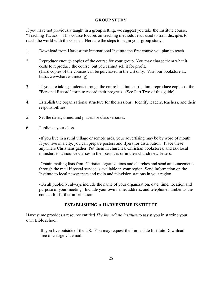### **GROUP STUDY**

If you have not previously taught in a group setting, we suggest you take the Institute course, "Teaching Tactics." This course focuses on teaching methods Jesus used to train disciples to reach the world with the Gospel. Here are the steps to begin your group study:

- 1. Download from Harvestime International Institute the first course you plan to teach.
- 2. Reproduce enough copies of the course for your group. You may charge them what it costs to reproduce the course, but you cannot sell it for profit. (Hard copies of the courses can be purchased in the US only. Visit our bookstore at: http://www.harvestime.org)
- 3. If you are taking students through the entire Institute curriculum, reproduce copies of the "Personal Record" form to record their progress. (See Part Two of this guide).
- 4. Establish the organizational structure for the sessions. Identify leaders, teachers, and their responsibilities.
- 5. Set the dates, times, and places for class sessions.
- 6. Publicize your class.

-If you live in a rural village or remote area, your advertising may be by word of mouth. If you live in a city, you can prepare posters and flyers for distribution. Place these anywhere Christians gather. Put them in churches, Christian bookstores, and ask local ministers to announce classes in their services or in their church newsletters.

-Obtain mailing lists from Christian organizations and churches and send announcements through the mail if postal service is available in your region. Send information on the Institute to local newspapers and radio and television stations in your region.

-On all publicity, always include the name of your organization, date, time, location and purpose of your meeting. Include your own name, address, and telephone number as the contact for further information.

#### **ESTABLISHING A HARVESTIME INSTITUTE**

Harvestime provides a resource entitled *The Immediate Institute* to assist you in starting your own Bible school.

-If you live outside of the US: You may request the Immediate Institute Download free of charge via email.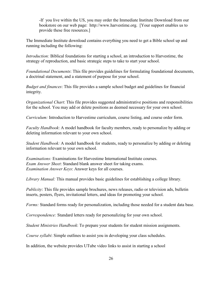-If you live within the US, you may order the Immediate Institute Download from our bookstore on our web page: http://www.harvestime.org. [Your support enables us to provide these free resources.]

The Immediate Institute download contains everything you need to get a Bible school up and running including the following:

*Introduction:* Biblical foundations for starting a school, an introduction to Harvestime, the strategy of reproduction, and basic strategic steps to take to start your school.

*Foundational Documents*: This file provides guidelines for formulating foundational documents, a doctrinal statement, and a statement of purpose for your school.

*Budget and finances*: This file provides a sample school budget and guidelines for financial integrity.

*Organizational Chart*: This file provides suggested administrative positions and responsibilities for the school. You may add or delete positions as deemed necessary for your own school.

*Curriculum:* Introduction to Harvestime curriculum, course listing, and course order form.

*Faculty Handbook*: A model handbook for faculty members, ready to personalize by adding or deleting information relevant to your own school.

*Student Handbook:* A model handbook for students, ready to personalize by adding or deleting information relevant to your own school.

*Examinations:* Examinations for Harvestime International Institute courses. *Exam Answer Sheet*: Standard blank answer sheet for taking exams. *Examination Answer Keys*: Answer keys for all courses.

*Library Manual:* This manual provides basic guidelines for establishing a college library.

*Publicity*: This file provides sample brochures, news releases, radio or television ads, bulletin inserts, posters, flyers, invitational letters, and ideas for promoting your school.

*Forms:* Standard forms ready for personalization, including those needed for a student data base.

*Correspondence:* Standard letters ready for personalizing for your own school.

*Student Ministries Handbook*: To prepare your students for student mission assignments.

*Course syllabi*: Simple outlines to assist you in developing your class schedules.

In addition, the website provides UTube video links to assist in starting a school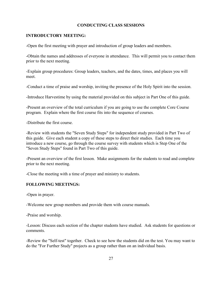#### **CONDUCTING CLASS SESSIONS**

#### **INTRODUCTORY MEETING:**

-Open the first meeting with prayer and introduction of group leaders and members.

-Obtain the names and addresses of everyone in attendance. This will permit you to contact them prior to the next meeting.

-Explain group procedures: Group leaders, teachers, and the dates, times, and places you will meet.

-Conduct a time of praise and worship, inviting the presence of the Holy Spirit into the session.

-Introduce Harvestime by using the material provided on this subject in Part One of this guide.

-Present an overview of the total curriculum if you are going to use the complete Core Course program. Explain where the first course fits into the sequence of courses.

-Distribute the first course.

-Review with students the "Seven Study Steps" for independent study provided in Part Two of this guide. Give each student a copy of these steps to direct their studies. Each time you introduce a new course, go through the course survey with students which is Step One of the "Seven Study Steps" found in Part Two of this guide.

-Present an overview of the first lesson. Make assignments for the students to read and complete prior to the next meeting.

-Close the meeting with a time of prayer and ministry to students.

#### **FOLLOWING MEETINGS:**

-Open in prayer.

-Welcome new group members and provide them with course manuals.

-Praise and worship.

-Lesson: Discuss each section of the chapter students have studied. Ask students for questions or comments.

-Review the "Self-test" together. Check to see how the students did on the test. You may want to do the "For Further Study" projects as a group rather than on an individual basis.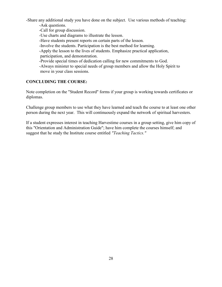-Share any additional study you have done on the subject. Use various methods of teaching: -Ask questions.

-Call for group discussion. -Use charts and diagrams to illustrate the lesson. -Have students present reports on certain parts of the lesson. -Involve the students. Participation is the best method for learning. -Apply the lesson to the lives of students. Emphasize practical application, participation, and demonstration. -Provide special times of dedication calling for new commitments to God. -Always minister to special needs of group members and allow the Holy Spirit to move in your class sessions.

### **CONCLUDING THE COURSE:**

Note completion on the "Student Record" forms if your group is working towards certificates or diplomas.

Challenge group members to use what they have learned and teach the course to at least one other person during the next year. This will continuously expand the network of spiritual harvesters.

If a student expresses interest in teaching Harvestime courses in a group setting, give him copy of this "Orientation and Administration Guide"; have him complete the courses himself; and suggest that he study the Institute course entitled *"Teaching Tactics."*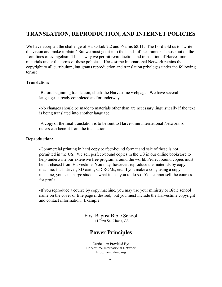## **TRANSLATION, REPRODUCTION, AND INTERNET POLICIES**

We have accepted the challenge of Habakkuk 2:2 and Psalms  $68:11$ . The Lord told us to "write" the vision and make it plain." But we must get it into the hands of the "runners," those out on the front lines of evangelism. This is why we permit reproduction and translation of Harvestime materials under the terms of these policies. Harvestime International Network retains the copyright to all curriculum, but grants reproduction and translation privileges under the following terms:

### **Translation:**

-Before beginning translation, check the Harvestime webpage. We have several languages already completed and/or underway.

-No changes should be made to materials other than are necessary linguistically if the text is being translated into another language.

-A copy of the final translation is to be sent to Harvestime International Network so others can benefit from the translation.

### **Reproduction:**

-Commercial printing in hard copy perfect-bound format and sale of these is not permitted in the US. We sell perfect-bound copies in the US in our online bookstore to help underwrite our extensive free program around the world. Perfect bound copies must be purchased from Harvestime. You may, however, reproduce the materials by copy machine, flash drives, SD cards, CD ROMs, etc. If you make a copy using a copy machine, you can charge students what it cost you to do so. You cannot sell the courses for profit.

-If you reproduce a course by copy machine, you may use your ministry or Bible school name on the cover or title page if desired, but you must include the Harvestime copyright and contact information. Example:

> $\overline{z}$ First Baptist Bible School 111 First St., Clovis, CA **Power Principles** Curriculum Provided By: Harvestime International Network http://harvestime.org